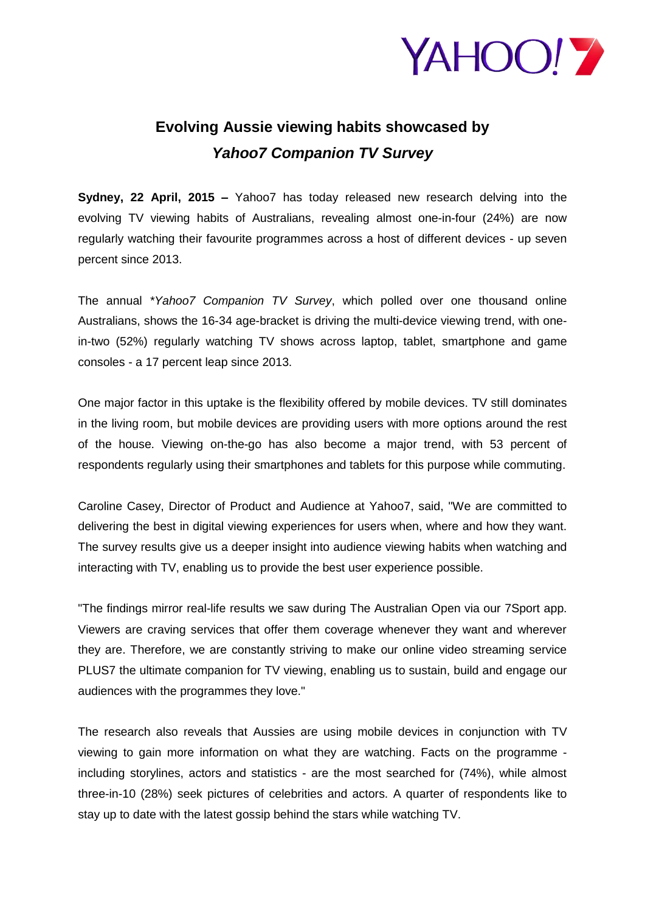

## **Evolving Aussie viewing habits showcased by** *Yahoo7 Companion TV Survey*

**Sydney, 22 April, 2015 –** Yahoo7 has today released new research delving into the evolving TV viewing habits of Australians, revealing almost one-in-four (24%) are now regularly watching their favourite programmes across a host of different devices - up seven percent since 2013.

The annual *\*Yahoo7 Companion TV Survey*, which polled over one thousand online Australians, shows the 16-34 age-bracket is driving the multi-device viewing trend, with onein-two (52%) regularly watching TV shows across laptop, tablet, smartphone and game consoles - a 17 percent leap since 2013.

One major factor in this uptake is the flexibility offered by mobile devices. TV still dominates in the living room, but mobile devices are providing users with more options around the rest of the house. Viewing on-the-go has also become a major trend, with 53 percent of respondents regularly using their smartphones and tablets for this purpose while commuting.

Caroline Casey, Director of Product and Audience at Yahoo7, said, "We are committed to delivering the best in digital viewing experiences for users when, where and how they want. The survey results give us a deeper insight into audience viewing habits when watching and interacting with TV, enabling us to provide the best user experience possible.

"The findings mirror real-life results we saw during The Australian Open via our 7Sport app. Viewers are craving services that offer them coverage whenever they want and wherever they are. Therefore, we are constantly striving to make our online video streaming service PLUS7 the ultimate companion for TV viewing, enabling us to sustain, build and engage our audiences with the programmes they love."

The research also reveals that Aussies are using mobile devices in conjunction with TV viewing to gain more information on what they are watching. Facts on the programme including storylines, actors and statistics - are the most searched for (74%), while almost three-in-10 (28%) seek pictures of celebrities and actors. A quarter of respondents like to stay up to date with the latest gossip behind the stars while watching TV.